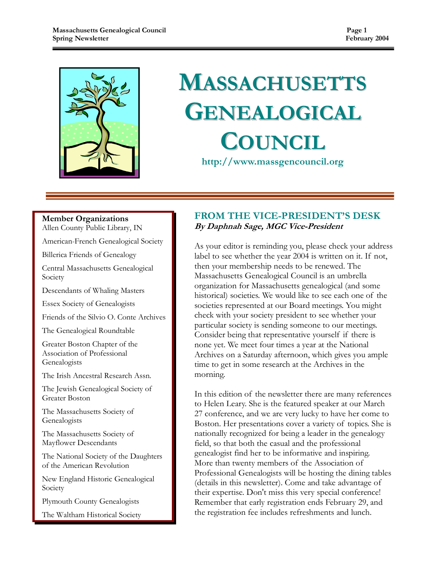

# **MASSACHUSETTS** GENEALOGICAL **COUNCIL**

http://www.massgencouncil.org

#### Member Organizations

Allen County Public Library, IN

American-French Genealogical Society

Billerica Friends of Genealogy

Central Massachusetts Genealogical Society

Descendants of Whaling Masters

Essex Society of Genealogists

Friends of the Silvio O. Conte Archives

The Genealogical Roundtable

Greater Boston Chapter of the Association of Professional Genealogists

The Irish Ancestral Research Assn.

The Jewish Genealogical Society of Greater Boston

The Massachusetts Society of Genealogists

The Massachusetts Society of Mayflower Descendants

The National Society of the Daughters of the American Revolution

New England Historic Genealogical Society

Plymouth County Genealogists

The Waltham Historical Society

### FROM THE VICE-PRESIDENT'S DESK By Daphnah Sage, MGC Vice-President

As your editor is reminding you, please check your address label to see whether the year 2004 is written on it. If not, then your membership needs to be renewed. The Massachusetts Genealogical Council is an umbrella organization for Massachusetts genealogical (and some historical) societies. We would like to see each one of the societies represented at our Board meetings. You might check with your society president to see whether your particular society is sending someone to our meetings. Consider being that representative yourself if there is none yet. We meet four times a year at the National Archives on a Saturday afternoon, which gives you ample time to get in some research at the Archives in the morning.

In this edition of the newsletter there are many references to Helen Leary. She is the featured speaker at our March 27 conference, and we are very lucky to have her come to Boston. Her presentations cover a variety of topics. She is nationally recognized for being a leader in the genealogy field, so that both the casual and the professional genealogist find her to be informative and inspiring. More than twenty members of the Association of Professional Genealogists will be hosting the dining tables (details in this newsletter). Come and take advantage of their expertise. Don't miss this very special conference! Remember that early registration ends February 29, and the registration fee includes refreshments and lunch.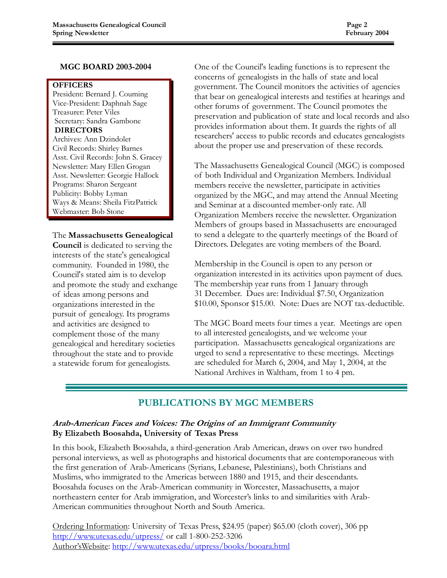#### MGC BOARD 2003-2004

**OFFICERS** 

President: Bernard J. Couming Vice-President: Daphnah Sage Treasurer: Peter Viles Secretary: Sandra Gambone DIRECTORS

Archives: Ann Dzindolet Civil Records: Shirley Barnes Asst. Civil Records: John S. Gracey Newsletter: Mary Ellen Grogan Asst. Newsletter: Georgie Hallock Programs: Sharon Sergeant Publicity: Bobby Lyman Ways & Means: Sheila FitzPatrick Webmaster: Bob Stone

#### The Massachusetts Genealogical

Council is dedicated to serving the interests of the state's genealogical community. Founded in 1980, the Council's stated aim is to develop and promote the study and exchange of ideas among persons and organizations interested in the pursuit of genealogy. Its programs and activities are designed to complement those of the many genealogical and hereditary societies throughout the state and to provide a statewide forum for genealogists.

One of the Council's leading functions is to represent the concerns of genealogists in the halls of state and local government. The Council monitors the activities of agencies that bear on genealogical interests and testifies at hearings and other forums of government. The Council promotes the preservation and publication of state and local records and also provides information about them. It guards the rights of all researchers' access to public records and educates genealogists about the proper use and preservation of these records.

The Massachusetts Genealogical Council (MGC) is composed of both Individual and Organization Members. Individual members receive the newsletter, participate in activities organized by the MGC, and may attend the Annual Meeting and Seminar at a discounted member-only rate. All Organization Members receive the newsletter. Organization Members of groups based in Massachusetts are encouraged to send a delegate to the quarterly meetings of the Board of Directors. Delegates are voting members of the Board.

Membership in the Council is open to any person or organization interested in its activities upon payment of dues. The membership year runs from 1 January through 31 December. Dues are: Individual \$7.50, Organization \$10.00, Sponsor \$15.00. Note: Dues are NOT tax-deductible.

The MGC Board meets four times a year. Meetings are open to all interested genealogists, and we welcome your participation. Massachusetts genealogical organizations are urged to send a representative to these meetings. Meetings are scheduled for March 6, 2004, and May 1, 2004, at the National Archives in Waltham, from 1 to 4 pm.

## PUBLICATIONS BY MGC MEMBERS

#### Arab-American Faces and Voices: The Origins of an Immigrant Community By Elizabeth Boosahda, University of Texas Press

In this book, Elizabeth Boosahda, a third-generation Arab American, draws on over two hundred personal interviews, as well as photographs and historical documents that are contemporaneous with the first generation of Arab-Americans (Syrians, Lebanese, Palestinians), both Christians and Muslims, who immigrated to the Americas between 1880 and 1915, and their descendants. Boosahda focuses on the Arab-American community in Worcester, Massachusetts, a major northeastern center for Arab immigration, and Worcester's links to and similarities with Arab-American communities throughout North and South America.

Ordering Information: University of Texas Press, \$24.95 (paper) \$65.00 (cloth cover), 306 pp http://www.utexas.edu/utpress/ or call 1-800-252-3206 Author'sWebsite: http://www.utexas.edu/utpress/books/booara.html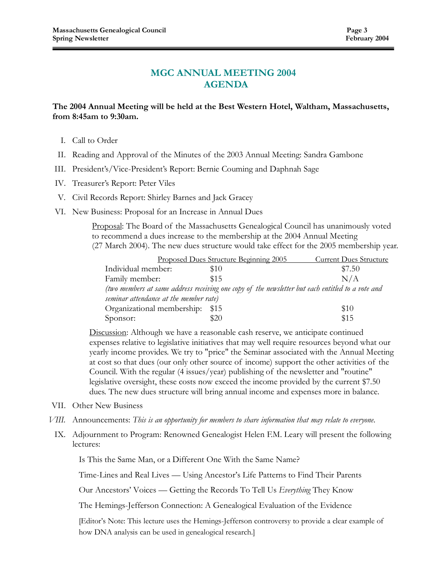#### MGC ANNUAL MEETING 2004 AGENDA

#### The 2004 Annual Meeting will be held at the Best Western Hotel, Waltham, Massachusetts, from 8:45am to 9:30am.

- I. Call to Order
- II. Reading and Approval of the Minutes of the 2003 Annual Meeting: Sandra Gambone
- III. President's/Vice-President's Report: Bernie Couming and Daphnah Sage
- IV. Treasurer's Report: Peter Viles
- V. Civil Records Report: Shirley Barnes and Jack Gracey
- VI. New Business: Proposal for an Increase in Annual Dues

Proposal: The Board of the Massachusetts Genealogical Council has unanimously voted to recommend a dues increase to the membership at the 2004 Annual Meeting (27 March 2004). The new dues structure would take effect for the 2005 membership year.

|                                                                                                   | Proposed Dues Structure Beginning 2005 | <b>Current Dues Structure</b> |  |  |
|---------------------------------------------------------------------------------------------------|----------------------------------------|-------------------------------|--|--|
| Individual member:                                                                                | \$10                                   | \$7.50                        |  |  |
| Family member:                                                                                    | \$15                                   | N/A                           |  |  |
| (two members at same address receiving one copy of the newsletter but each entitled to a vote and |                                        |                               |  |  |
| seminar attendance at the member rate)                                                            |                                        |                               |  |  |
| Organizational membership: \$15                                                                   |                                        | \$10                          |  |  |
| Sponsor:                                                                                          | \$20                                   | \$15                          |  |  |

Discussion: Although we have a reasonable cash reserve, we anticipate continued expenses relative to legislative initiatives that may well require resources beyond what our yearly income provides. We try to "price" the Seminar associated with the Annual Meeting at cost so that dues (our only other source of income) support the other activities of the Council. With the regular (4 issues/year) publishing of the newsletter and "routine" legislative oversight, these costs now exceed the income provided by the current \$7.50 dues. The new dues structure will bring annual income and expenses more in balance.

- VII. Other New Business
- VIII. Announcements: This is an opportunity for members to share information that may relate to everyone.
- IX. Adjournment to Program: Renowned Genealogist Helen F.M. Leary will present the following lectures:

Is This the Same Man, or a Different One With the Same Name?

Time-Lines and Real Lives — Using Ancestor's Life Patterns to Find Their Parents

Our Ancestors' Voices — Getting the Records To Tell Us Everything They Know

The Hemings-Jefferson Connection: A Genealogical Evaluation of the Evidence

 [Editor's Note: This lecture uses the Hemings-Jefferson controversy to provide a clear example of how DNA analysis can be used in genealogical research.]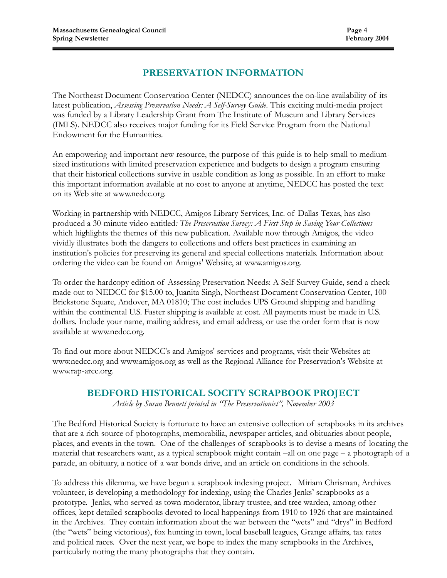# PRESERVATION INFORMATION

The Northeast Document Conservation Center (NEDCC) announces the on-line availability of its latest publication, Assessing Preservation Needs: A Self-Survey Guide. This exciting multi-media project was funded by a Library Leadership Grant from The Institute of Museum and Library Services (IMLS). NEDCC also receives major funding for its Field Service Program from the National Endowment for the Humanities.

An empowering and important new resource, the purpose of this guide is to help small to mediumsized institutions with limited preservation experience and budgets to design a program ensuring that their historical collections survive in usable condition as long as possible. In an effort to make this important information available at no cost to anyone at anytime, NEDCC has posted the text on its Web site at www.nedcc.org.

Working in partnership with NEDCC, Amigos Library Services, Inc. of Dallas Texas, has also produced a 30-minute video entitled: The Preservation Survey: A First Step in Saving Your Collections which highlights the themes of this new publication. Available now through Amigos, the video vividly illustrates both the dangers to collections and offers best practices in examining an institution's policies for preserving its general and special collections materials. Information about ordering the video can be found on Amigos' Website, at www.amigos.org.

To order the hardcopy edition of Assessing Preservation Needs: A Self-Survey Guide, send a check made out to NEDCC for \$15.00 to, Juanita Singh, Northeast Document Conservation Center, 100 Brickstone Square, Andover, MA 01810; The cost includes UPS Ground shipping and handling within the continental U.S. Faster shipping is available at cost. All payments must be made in U.S. dollars. Include your name, mailing address, and email address, or use the order form that is now available at www.nedcc.org.

To find out more about NEDCC's and Amigos' services and programs, visit their Websites at: www.nedcc.org and www.amigos.org as well as the Regional Alliance for Preservation's Website at www.rap-arcc.org.

### BEDFORD HISTORICAL SOCITY SCRAPBOOK PROJECT

Article by Susan Bennett printed in "The Preservationist", November 2003

The Bedford Historical Society is fortunate to have an extensive collection of scrapbooks in its archives that are a rich source of photographs, memorabilia, newspaper articles, and obituaries about people, places, and events in the town. One of the challenges of scrapbooks is to devise a means of locating the material that researchers want, as a typical scrapbook might contain –all on one page – a photograph of a parade, an obituary, a notice of a war bonds drive, and an article on conditions in the schools.

To address this dilemma, we have begun a scrapbook indexing project. Miriam Chrisman, Archives volunteer, is developing a methodology for indexing, using the Charles Jenks' scrapbooks as a prototype. Jenks, who served as town moderator, library trustee, and tree warden, among other offices, kept detailed scrapbooks devoted to local happenings from 1910 to 1926 that are maintained in the Archives. They contain information about the war between the "wets" and "drys" in Bedford (the "wets" being victorious), fox hunting in town, local baseball leagues, Grange affairs, tax rates and political races. Over the next year, we hope to index the many scrapbooks in the Archives, particularly noting the many photographs that they contain.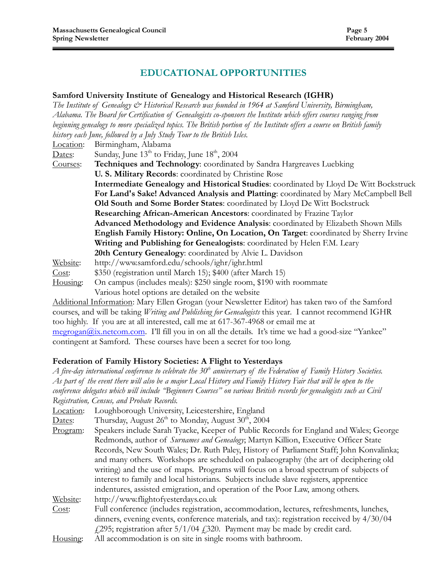#### EDUCATIONAL OPPORTUNITIES

#### Samford University Institute of Genealogy and Historical Research (IGHR)

The Institute of Genealogy  $\mathcal{O}^*$  Historical Research was founded in 1964 at Samford University, Birmingham, Alabama. The Board for Certification of Genealogists co-sponsors the Institute which offers courses ranging from beginning genealogy to more specialized topics. The British portion of the Institute offers a course on British family history each June, followed by a July Study Tour to the British Isles. Location: Birmingham, Alabama Dates: Sunday, June  $13<sup>th</sup>$  to Friday, June  $18<sup>th</sup>$ , 2004 Courses: Techniques and Technology: coordinated by Sandra Hargreaves Luebking U. S. Military Records: coordinated by Christine Rose Intermediate Genealogy and Historical Studies: coordinated by Lloyd De Witt Bockstruck For Land's Sake! Advanced Analysis and Platting: coordinated by Mary McCampbell Bell Old South and Some Border States: coordinated by Lloyd De Witt Bockstruck Researching African-American Ancestors: coordinated by Frazine Taylor Advanced Methodology and Evidence Analysis: coordinated by Elizabeth Shown Mills English Family History: Online, On Location, On Target: coordinated by Sherry Irvine Writing and Publishing for Genealogists: coordinated by Helen F.M. Leary 20th Century Genealogy: coordinated by Alvie L. Davidson Website: http://www.samford.edu/schools/ighr/ighr.html Cost: \$350 (registration until March 15); \$400 (after March 15) Housing: On campus (includes meals): \$250 single room, \$190 with roommate Various hotel options are detailed on the website Additional Information: Mary Ellen Grogan (your Newsletter Editor) has taken two of the Samford

courses, and will be taking *Writing and Publishing for Genealogists* this year. I cannot recommend IGHR too highly. If you are at all interested, call me at 617-367-4968 or email me at  $\frac{1}{\text{megrogan}(a)x.\text{netcom.com}}$ . I'll fill you in on all the details. It's time we had a good-size "Yankee" contingent at Samford. These courses have been a secret for too long.

#### Federation of Family History Societies: A Flight to Yesterdays

A five-day international conference to celebrate the 30<sup>th</sup> anniversary of the Federation of Family History Societies. As part of the event there will also be a major Local History and Family History Fair that will be open to the conference delegates which will include "Beginners Courses" on various British records for genealogists such as Civil Registration, Census, and Probate Records.

| Location: | Loughborough University, Leicestershire, England                                            |  |  |
|-----------|---------------------------------------------------------------------------------------------|--|--|
| Dates:    | Thursday, August 26 <sup>th</sup> to Monday, August 30 <sup>th</sup> , 2004                 |  |  |
| Program:  | Speakers include Sarah Tyacke, Keeper of Public Records for England and Wales; George       |  |  |
|           | Redmonds, author of <i>Surnames and Genealogy</i> ; Martyn Killion, Executive Officer State |  |  |
|           | Records, New South Wales; Dr. Ruth Paley, History of Parliament Staff; John Konvalinka;     |  |  |
|           | and many others. Workshops are scheduled on palaeography (the art of deciphering old        |  |  |
|           | writing) and the use of maps. Programs will focus on a broad spectrum of subjects of        |  |  |
|           | interest to family and local historians. Subjects include slave registers, apprentice       |  |  |
|           | indentures, assisted emigration, and operation of the Poor Law, among others.               |  |  |
| Website:  | http://www.flightofyesterdays.co.uk                                                         |  |  |
| Cost:     | Full conference (includes registration, accommodation, lectures, refreshments, lunches,     |  |  |
|           | dinners, evening events, conference materials, and tax): registration received by $4/30/04$ |  |  |
|           | $f(295)$ ; registration after 5/1/04 $f(320)$ . Payment may be made by credit card.         |  |  |
| Housing:  | All accommodation is on site in single rooms with bathroom.                                 |  |  |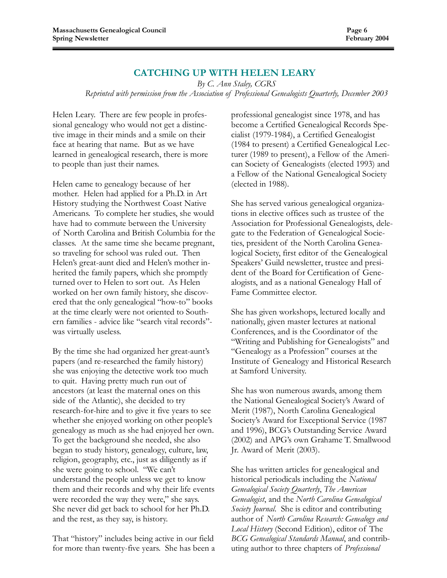#### CATCHING UP WITH HELEN LEARY

By C. Ann Staley, CGRS Reprinted with permission from the Association of Professional Genealogists Quarterly, December 2003

Helen Leary. There are few people in professional genealogy who would not get a distinctive image in their minds and a smile on their face at hearing that name. But as we have learned in genealogical research, there is more to people than just their names.

Helen came to genealogy because of her mother. Helen had applied for a Ph.D. in Art History studying the Northwest Coast Native Americans. To complete her studies, she would have had to commute between the University of North Carolina and British Columbia for the classes. At the same time she became pregnant, so traveling for school was ruled out. Then Helen's great-aunt died and Helen's mother inherited the family papers, which she promptly turned over to Helen to sort out. As Helen worked on her own family history, she discovered that the only genealogical "how-to" books at the time clearly were not oriented to Southern families - advice like "search vital records" was virtually useless.

By the time she had organized her great-aunt's papers (and re-researched the family history) she was enjoying the detective work too much to quit. Having pretty much run out of ancestors (at least the maternal ones on this side of the Atlantic), she decided to try research-for-hire and to give it five years to see whether she enjoyed working on other people's genealogy as much as she had enjoyed her own. To get the background she needed, she also began to study history, genealogy, culture, law, religion, geography, etc., just as diligently as if she were going to school. "We can't understand the people unless we get to know them and their records and why their life events were recorded the way they were," she says. She never did get back to school for her Ph.D. and the rest, as they say, is history.

That "history" includes being active in our field for more than twenty-five years. She has been a professional genealogist since 1978, and has become a Certified Genealogical Records Specialist (1979-1984), a Certified Genealogist (1984 to present) a Certified Genealogical Lecturer (1989 to present), a Fellow of the American Society of Genealogists (elected 1993) and a Fellow of the National Genealogical Society (elected in 1988).

She has served various genealogical organizations in elective offices such as trustee of the Association for Professional Genealogists, delegate to the Federation of Genealogical Societies, president of the North Carolina Genealogical Society, first editor of the Genealogical Speakers' Guild newsletter, trustee and president of the Board for Certification of Genealogists, and as a national Genealogy Hall of Fame Committee elector.

She has given workshops, lectured locally and nationally, given master lectures at national Conferences, and is the Coordinator of the "Writing and Publishing for Genealogists" and "Genealogy as a Profession" courses at the Institute of Genealogy and Historical Research at Samford University.

She has won numerous awards, among them the National Genealogical Society's Award of Merit (1987), North Carolina Genealogical Society's Award for Exceptional Service (1987 and 1996), BCG's Outstanding Service Award (2002) and APG's own Grahame T. Smallwood Jr. Award of Merit (2003).

She has written articles for genealogical and historical periodicals including the National Genealogical Society Quarterly, The American Genealogist, and the North Carolina Genealogical Society Journal. She is editor and contributing author of North Carolina Research: Genealogy and Local History (Second Edition), editor of The BCG Genealogical Standards Manual, and contributing author to three chapters of Professional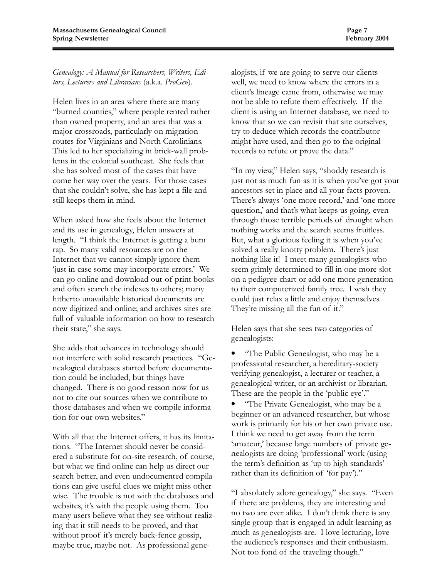Genealogy: A Manual for Researchers, Writers, Editors, Lecturers and Librarians (a.k.a. ProGen).

Helen lives in an area where there are many "burned counties," where people rented rather than owned property, and an area that was a major crossroads, particularly on migration routes for Virginians and North Carolinians. This led to her specializing in brick-wall problems in the colonial southeast. She feels that she has solved most of the cases that have come her way over the years. For those cases that she couldn't solve, she has kept a file and still keeps them in mind.

When asked how she feels about the Internet and its use in genealogy, Helen answers at length. "I think the Internet is getting a bum rap. So many valid resources are on the Internet that we cannot simply ignore them 'just in case some may incorporate errors.' We can go online and download out-of-print books and often search the indexes to others; many hitherto unavailable historical documents are now digitized and online; and archives sites are full of valuable information on how to research their state," she says.

She adds that advances in technology should not interfere with solid research practices. "Genealogical databases started before documentation could be included, but things have changed. There is no good reason now for us not to cite our sources when we contribute to those databases and when we compile information for our own websites."

With all that the Internet offers, it has its limitations. "The Internet should never be considered a substitute for on-site research, of course, but what we find online can help us direct our search better, and even undocumented compilations can give useful clues we might miss otherwise. The trouble is not with the databases and websites, it's with the people using them. Too many users believe what they see without realizing that it still needs to be proved, and that without proof it's merely back-fence gossip, maybe true, maybe not. As professional genealogists, if we are going to serve our clients well, we need to know where the errors in a client's lineage came from, otherwise we may not be able to refute them effectively. If the client is using an Internet database, we need to know that so we can revisit that site ourselves, try to deduce which records the contributor might have used, and then go to the original records to refute or prove the data."

"In my view," Helen says, "shoddy research is just not as much fun as it is when you've got your ancestors set in place and all your facts proven. There's always 'one more record,' and 'one more question,' and that's what keeps us going, even through those terrible periods of drought when nothing works and the search seems fruitless. But, what a glorious feeling it is when you've solved a really knotty problem. There's just nothing like it! I meet many genealogists who seem grimly determined to fill in one more slot on a pedigree chart or add one more generation to their computerized family tree. I wish they could just relax a little and enjoy themselves. They're missing all the fun of it."

Helen says that she sees two categories of genealogists:

• "The Public Genealogist, who may be a professional researcher, a hereditary-society verifying genealogist, a lecturer or teacher, a genealogical writer, or an archivist or librarian. These are the people in the 'public eye'."

• "The Private Genealogist, who may be a beginner or an advanced researcher, but whose work is primarily for his or her own private use. I think we need to get away from the term 'amateur,' because large numbers of private genealogists are doing 'professional' work (using the term's definition as 'up to high standards' rather than its definition of 'for pay')."

"I absolutely adore genealogy," she says. "Even if there are problems, they are interesting and no two are ever alike. I don't think there is any single group that is engaged in adult learning as much as genealogists are. I love lecturing, love the audience's responses and their enthusiasm. Not too fond of the traveling though."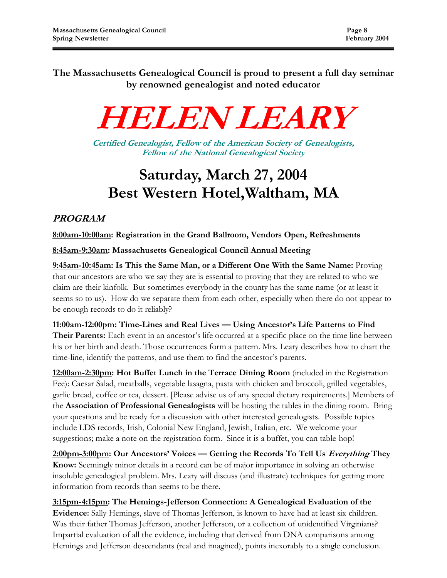The Massachusetts Genealogical Council is proud to present a full day seminar by renowned genealogist and noted educator

# HELEN LEARY

Certified Genealogist, Fellow of the American Society of Genealogists, Fellow of the National Genealogical Society

# Saturday, March 27, 2004 Best Western Hotel,Waltham, MA

# PROGRAM

8:00am-10:00am: Registration in the Grand Ballroom, Vendors Open, Refreshments

8:45am-9:30am: Massachusetts Genealogical Council Annual Meeting

9:45am-10:45am: Is This the Same Man, or a Different One With the Same Name: Proving that our ancestors are who we say they are is essential to proving that they are related to who we claim are their kinfolk. But sometimes everybody in the county has the same name (or at least it seems so to us). How do we separate them from each other, especially when there do not appear to be enough records to do it reliably?

11:00am-12:00pm: Time-Lines and Real Lives — Using Ancestor's Life Patterns to Find Their Parents: Each event in an ancestor's life occurred at a specific place on the time line between his or her birth and death. Those occurrences form a pattern. Mrs. Leary describes how to chart the time-line, identify the patterns, and use them to find the ancestor's parents.

12:00am-2:30pm: Hot Buffet Lunch in the Terrace Dining Room (included in the Registration Fee): Caesar Salad, meatballs, vegetable lasagna, pasta with chicken and broccoli, grilled vegetables, garlic bread, coffee or tea, dessert. [Please advise us of any special dietary requirements.] Members of the Association of Professional Genealogists will be hosting the tables in the dining room. Bring your questions and be ready for a discussion with other interested genealogists. Possible topics include LDS records, Irish, Colonial New England, Jewish, Italian, etc. We welcome your suggestions; make a note on the registration form. Since it is a buffet, you can table-hop!

2:00pm-3:00pm: Our Ancestors' Voices — Getting the Records To Tell Us Everything They Know: Seemingly minor details in a record can be of major importance in solving an otherwise insoluble genealogical problem. Mrs. Leary will discuss (and illustrate) techniques for getting more information from records than seems to be there.

3:15pm-4:15pm: The Hemings-Jefferson Connection: A Genealogical Evaluation of the Evidence: Sally Hemings, slave of Thomas Jefferson, is known to have had at least six children. Was their father Thomas Jefferson, another Jefferson, or a collection of unidentified Virginians? Impartial evaluation of all the evidence, including that derived from DNA comparisons among Hemings and Jefferson descendants (real and imagined), points inexorably to a single conclusion.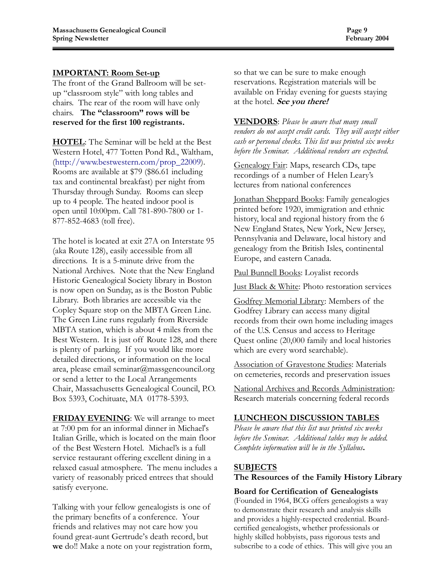#### IMPORTANT: Room Set-up

The front of the Grand Ballroom will be setup "classroom style" with long tables and chairs. The rear of the room will have only chairs. The "classroom" rows will be reserved for the first 100 registrants.

HOTEL: The Seminar will be held at the Best Western Hotel, 477 Totten Pond Rd., Waltham, (http://www.bestwestern.com/prop\_22009). Rooms are available at \$79 (\$86.61 including tax and continental breakfast) per night from Thursday through Sunday. Rooms can sleep up to 4 people. The heated indoor pool is open until 10:00pm. Call 781-890-7800 or 1- 877-852-4683 (toll free).

The hotel is located at exit 27A on Interstate 95 (aka Route 128), easily accessible from all directions. It is a 5-minute drive from the National Archives. Note that the New England Historic Genealogical Society library in Boston is now open on Sunday, as is the Boston Public Library. Both libraries are accessible via the Copley Square stop on the MBTA Green Line. The Green Line runs regularly from Riverside MBTA station, which is about 4 miles from the Best Western. It is just off Route 128, and there is plenty of parking. If you would like more detailed directions, or information on the local area, please email seminar@massgencouncil.org or send a letter to the Local Arrangements Chair, Massachusetts Genealogical Council, P.O. Box 5393, Cochituate, MA 01778-5393.

FRIDAY EVENING: We will arrange to meet at 7:00 pm for an informal dinner in Michael's Italian Grille, which is located on the main floor of the Best Western Hotel. Michael's is a full service restaurant offering excellent dining in a relaxed casual atmosphere. The menu includes a variety of reasonably priced entrees that should satisfy everyone.

Talking with your fellow genealogists is one of the primary benefits of a conference. Your friends and relatives may not care how you found great-aunt Gertrude's death record, but we do!! Make a note on your registration form, so that we can be sure to make enough reservations. Registration materials will be available on Friday evening for guests staying at the hotel. See you there!

**VENDORS**: Please be aware that many small vendors do not accept credit cards. They will accept either cash or personal checks. This list was printed six weeks before the Seminar. Additional vendors are expected.

Genealogy Fair: Maps, research CDs, tape recordings of a number of Helen Leary's lectures from national conferences

Jonathan Sheppard Books: Family genealogies printed before 1920, immigration and ethnic history, local and regional history from the 6 New England States, New York, New Jersey, Pennsylvania and Delaware, local history and genealogy from the British Isles, continental Europe, and eastern Canada.

Paul Bunnell Books: Loyalist records

Just Black & White: Photo restoration services

Godfrey Memorial Library: Members of the Godfrey Library can access many digital records from their own home including images of the U.S. Census and access to Heritage Quest online (20,000 family and local histories which are every word searchable).

Association of Gravestone Studies: Materials on cemeteries, records and preservation issues

National Archives and Records Administration: Research materials concerning federal records

#### LUNCHEON DISCUSSION TABLES

Please be aware that this list was printed six weeks before the Seminar. Additional tables may be added. Complete information will be in the Syllabus.

#### **SUBJECTS**

The Resources of the Family History Library

#### Board for Certification of Genealogists

(Founded in 1964, BCG offers genealogists a way to demonstrate their research and analysis skills and provides a highly-respected credential. Boardcertified genealogists, whether professionals or highly skilled hobbyists, pass rigorous tests and subscribe to a code of ethics. This will give you an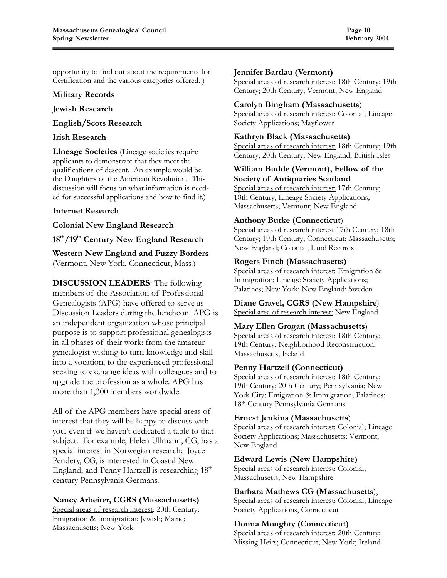opportunity to find out about the requirements for Certification and the various categories offered. )

#### Military Records

#### Jewish Research

#### English/Scots Research

#### Irish Research

Lineage Societies (Lineage societies require applicants to demonstrate that they meet the qualifications of descent. An example would be the Daughters of the American Revolution. This discussion will focus on what information is needed for successful applications and how to find it.)

#### Internet Research

#### Colonial New England Research

18<sup>th</sup>/19<sup>th</sup> Century New England Research

Western New England and Fuzzy Borders (Vermont, New York, Connecticut, Mass.)

**DISCUSSION LEADERS:** The following members of the Association of Professional Genealogists (APG) have offered to serve as Discussion Leaders during the luncheon. APG is an independent organization whose principal purpose is to support professional genealogists in all phases of their work: from the amateur genealogist wishing to turn knowledge and skill into a vocation, to the experienced professional seeking to exchange ideas with colleagues and to upgrade the profession as a whole. APG has more than 1,300 members worldwide.

All of the APG members have special areas of interest that they will be happy to discuss with you, even if we haven't dedicated a table to that subject. For example, Helen Ullmann, CG, has a special interest in Norwegian research; Joyce Pendery, CG, is interested in Coastal New England; and Penny Hartzell is researching 18<sup>th</sup> century Pennsylvania Germans.

#### Nancy Arbeiter, CGRS (Massachusetts)

Special areas of research interest: 20th Century; Emigration & Immigration; Jewish; Maine; Massachusetts; New York

#### Jennifer Bartlau (Vermont)

Special areas of research interest: 18th Century; 19th Century; 20th Century; Vermont; New England

#### Carolyn Bingham (Massachusetts)

Special areas of research interest: Colonial; Lineage Society Applications; Mayflower

#### Kathryn Black (Massachusetts)

Special areas of research interest: 18th Century; 19th Century; 20th Century; New England; British Isles

# William Budde (Vermont), Fellow of the

Society of Antiquaries Scotland Special areas of research interest: 17th Century; 18th Century; Lineage Society Applications; Massachusetts; Vermont; New England

#### Anthony Burke (Connecticut)

Special areas of research interest 17th Century; 18th Century; 19th Century; Connecticut; Massachusetts; New England; Colonial; Land Records

#### Rogers Finch (Massachusetts)

Special areas of research interest: Emigration & Immigration; Lineage Society Applications; Palatines; New York; New England; Sweden

# Diane Gravel, CGRS (New Hampshire)

Special area of research interest: New England

#### Mary Ellen Grogan (Massachusetts)

Special areas of research interest: 18th Century; 19th Century; Neighborhood Reconstruction; Massachusetts; Ireland

#### Penny Hartzell (Connecticut)

Special areas of research interest: 18th Century; 19th Century; 20th Century; Pennsylvania; New York City; Emigration & Immigration; Palatines; 18th Century Pennsylvania Germans

#### Ernest Jenkins (Massachusetts)

Special areas of research interest: Colonial; Lineage Society Applications; Massachusetts; Vermont; New England

#### Edward Lewis (New Hampshire)

Special areas of research interest: Colonial; Massachusetts; New Hampshire

#### Barbara Mathews CG (Massachusetts),

Special areas of research interest: Colonial; Lineage Society Applications, Connecticut

#### Donna Moughty (Connecticut)

Special areas of research interest: 20th Century; Missing Heirs; Connecticut; New York; Ireland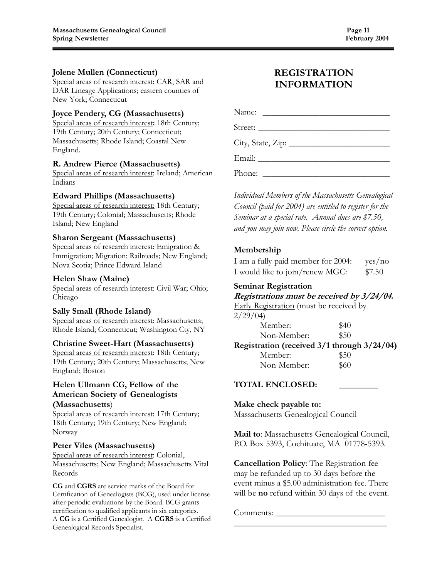#### Jolene Mullen (Connecticut)

Special areas of research interest: CAR, SAR and DAR Lineage Applications; eastern counties of New York; Connecticut

#### Joyce Pendery, CG (Massachusetts)

Special areas of research interest: 18th Century; 19th Century; 20th Century; Connecticut; Massachusetts; Rhode Island; Coastal New England.

#### R. Andrew Pierce (Massachusetts)

Special areas of research interest: Ireland; American Indians

#### Edward Phillips (Massachusetts)

Special areas of research interest: 18th Century; 19th Century; Colonial; Massachusetts; Rhode Island; New England

#### Sharon Sergeant (Massachusetts)

Special areas of research interest: Emigration & Immigration; Migration; Railroads; New England; Nova Scotia; Prince Edward Island

#### Helen Shaw (Maine)

Special areas of research interest: Civil War; Ohio; Chicago

#### Sally Small (Rhode Island)

Special areas of research interest: Massachusetts; Rhode Island; Connecticut; Washington Cty, NY

#### Christine Sweet-Hart (Massachusetts)

Special areas of research interest: 18th Century; 19th Century; 20th Century; Massachusetts; New England; Boston

#### Helen Ullmann CG, Fellow of the American Society of Genealogists (Massachusetts)

Special areas of research interest: 17th Century; 18th Century; 19th Century; New England; Norway

#### Peter Viles (Massachusetts)

Special areas of research interest: Colonial, Massachusetts; New England; Massachusetts Vital Records

CG and CGRS are service marks of the Board for Certification of Genealogists (BCG), used under license after periodic evaluations by the Board. BCG grants certification to qualified applicants in six categories. A CG is a Certified Genealogist. A CGRS is a Certified Genealogical Records Specialist.

## REGISTRATION INFORMATION

Name: \_\_\_\_\_\_\_\_\_\_\_\_\_\_\_\_\_\_\_\_\_\_\_\_\_\_\_\_\_

Street:

City, State, Zip: \_\_\_\_\_\_\_\_\_\_\_\_\_\_\_\_\_\_\_\_\_\_\_

Email: \_\_\_\_\_\_\_\_\_\_\_\_\_\_\_\_\_\_\_\_\_\_\_\_\_\_\_\_\_\_

Phone: \_\_\_\_\_\_\_\_\_\_\_\_\_\_\_\_\_\_\_\_\_\_\_\_\_\_\_\_\_

Individual Members of the Massachusetts Genealogical Council (paid for 2004) are entitled to register for the Seminar at a special rate. Annual dues are \$7.50, and you may join now. Please circle the correct option.

#### Membership

I am a fully paid member for 2004: yes/no I would like to join/renew MGC: \$7.50

#### Seminar Registration

Registrations must be received by 3/24/04.

Early Registration (must be received by  $2/29/04$ )

| 2/27/04                                     |      |
|---------------------------------------------|------|
| Member:                                     | \$40 |
| Non-Member:                                 | \$50 |
| Registration (received 3/1 through 3/24/04) |      |
|                                             |      |

Member: \$50 Non-Member: \$60

#### TOTAL ENCLOSED: \_\_\_\_\_\_\_\_\_

Make check payable to: Massachusetts Genealogical Council

Mail to: Massachusetts Genealogical Council, P.O. Box 5393, Cochituate, MA 01778-5393.

Cancellation Policy: The Registration fee may be refunded up to 30 days before the event minus a \$5.00 administration fee. There will be **no** refund within 30 days of the event.

\_\_\_\_\_\_\_\_\_\_\_\_\_\_\_\_\_\_\_\_\_\_\_\_\_\_\_\_\_\_\_\_\_\_\_

Comments: